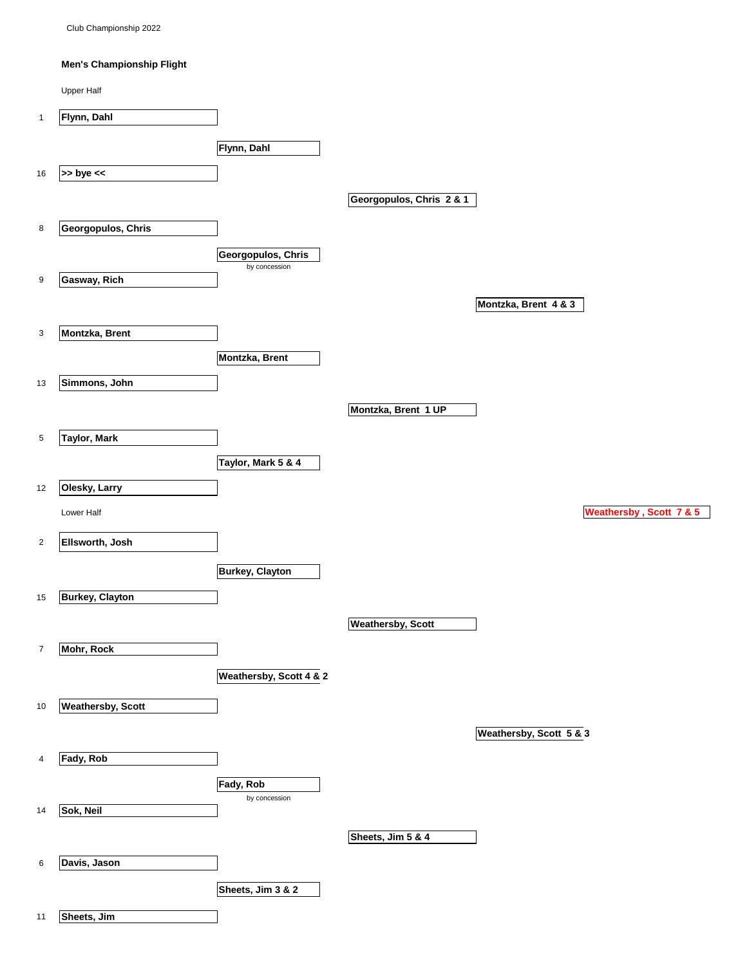Club Championship 2022

## **Men's Championship Flight**

|                  | <b>Upper Half</b>        |                                     |                          |
|------------------|--------------------------|-------------------------------------|--------------------------|
| $\mathbf{1}$     | Flynn, Dahl              |                                     |                          |
|                  |                          | Flynn, Dahl                         |                          |
| 16               | $>>$ bye $<<$            |                                     |                          |
|                  |                          |                                     |                          |
|                  |                          |                                     | Georgopulos, Chris 2 & 1 |
| 8                | Georgopulos, Chris       |                                     |                          |
|                  |                          | Georgopulos, Chris<br>by concession |                          |
| 9                | Gasway, Rich             |                                     |                          |
|                  |                          |                                     | Montzka, Brent 4 & 3     |
| 3                | Montzka, Brent           |                                     |                          |
|                  |                          | <b>Montzka, Brent</b>               |                          |
| 13               | Simmons, John            |                                     |                          |
|                  |                          |                                     | Montzka, Brent 1 UP      |
|                  |                          |                                     |                          |
| 5                | <b>Taylor, Mark</b>      |                                     |                          |
|                  |                          | Taylor, Mark 5 & 4                  |                          |
| 12               | Olesky, Larry            |                                     |                          |
|                  | Lower Half               |                                     | Weathersby, Scott 7 & 5  |
| $\overline{c}$   | Ellsworth, Josh          |                                     |                          |
|                  |                          | <b>Burkey, Clayton</b>              |                          |
| 15               | <b>Burkey, Clayton</b>   |                                     |                          |
|                  |                          |                                     |                          |
|                  |                          |                                     | <b>Weathersby, Scott</b> |
| $\boldsymbol{7}$ | Mohr, Rock               |                                     |                          |
|                  |                          | Weathersby, Scott 4 & 2             |                          |
| 10               | <b>Weathersby, Scott</b> |                                     |                          |
|                  |                          |                                     | Weathersby, Scott 5 & 3  |
| 4                | Fady, Rob                |                                     |                          |
|                  |                          | Fady, Rob                           |                          |
| 14               | Sok, Neil                | by concession                       |                          |
|                  |                          |                                     | Sheets, Jim 5 & 4        |
|                  |                          |                                     |                          |
| 6                | Davis, Jason             |                                     |                          |
|                  |                          | Sheets, Jim 3 & 2                   |                          |
| 11               | Sheets, Jim              |                                     |                          |